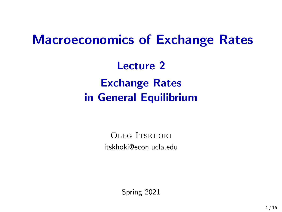# Macroeconomics of Exchange Rates

Lecture 2 Exchange Rates in General Equilibrium

> OLEG ITSKHOKI [itskhoki@econ.ucla.edu](mailto:oitskhoki@gmail.com)

> > Spring 2021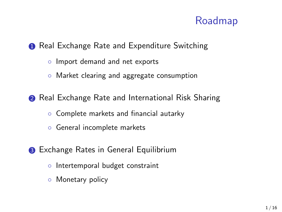### Roadmap

#### **1** Real Exchange Rate and Expenditure Switching

- Import demand and net exports
- Market clearing and aggregate consumption
- **2** Real Exchange Rate and International Risk Sharing
	- Complete markets and financial autarky
	- General incomplete markets
- **3** Exchange Rates in General Equilibrium
	- Intertemporal budget constraint
	- Monetary policy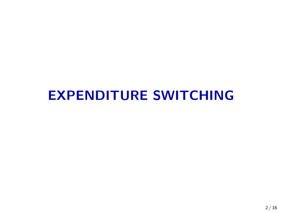# EXPENDITURE SWITCHING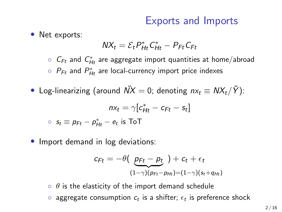### Exports and Imports

• Net exports:

$$
\mathit{NX}_t = \mathcal{E}_t P_{\mathit{Ht}}^* C_{\mathit{Ht}}^* - P_{\mathit{Ft}} C_{\mathit{Ft}}
$$

 $\circ$   $\,C_{Ft}$  and  $\,C_{Ht}^*$  are aggregate import quantities at home/abroad

 $\circ$   $\mathcal{P}_{\mathsf{F}t}$  and  $\mathcal{P}_{\mathsf{H}t}^*$  are local-currency import price indexes

• Log-linearizing (around  $\overline{N}X = 0$ ; denoting  $nx_t \equiv NX_t/\overline{Y}$ ):

$$
nx_t = \gamma[c_{Ht}^* - c_{Ft} - s_t]
$$
  

$$
\circ \ s_t \equiv p_{Ft} - p_{Ht}^* - e_t \text{ is ToT}
$$

• Import demand in log deviations:

$$
c_{Ft} = -\theta \left( \underbrace{p_{Ft} - p_t}_{(1-\gamma)(p_{Ft} - p_{Ht}) = (1-\gamma)(s_t + q_{Ht})} \right)
$$

 $\circ$   $\theta$  is the elasticity of the import demand schedule  $\circ$  aggregate consumption  $c_t$  is a shifter;  $\epsilon_t$  is preference shock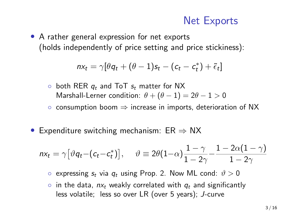### Net Exports

• A rather general expression for net exports (holds independently of price setting and price stickiness):

$$
nx_t = \gamma[\theta q_t + (\theta - 1)s_t - (c_t - c_t^*) + \tilde{\epsilon}_t]
$$

- $\circ$  both RER  $q_t$  and ToT  $s_t$  matter for NX Marshall-Lerner condition:  $\theta + (\theta - 1) = 2\theta - 1 > 0$
- consumption boom ⇒ increase in imports, deterioration of NX
- Expenditure switching mechanism:  $ER \Rightarrow NX$

$$
nx_t = \gamma \big[\vartheta q_t - (c_t - c_t^*)\big], \quad \vartheta \equiv 2\theta(1-\alpha)\frac{1-\gamma}{1-2\gamma} - \frac{1-2\alpha(1-\gamma)}{1-2\gamma}
$$

 $\circ$  expressing  $s_t$  via  $q_t$  using Prop. 2. Now ML cond:  $\vartheta > 0$ 

 $\circ$  in the data,  $nx_t$  weakly correlated with  $q_t$  and significantly less volatile; less so over LR (over 5 years); J-curve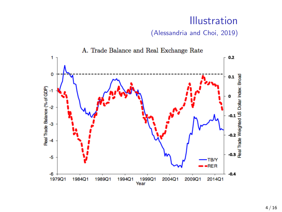### Illustration

(Alessandria and Choi, 2019)

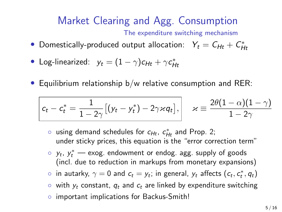### Market Clearing and Agg. Consumption The expenditure switching mechanism

- Domestically-produced output allocation:  $Y_t = C_{Ht} + C_{Ht}^*$
- Log-linearized:  $y_t = (1 \gamma)c_{Ht} + \gamma c_{Ht}^*$
- Equilibrium relationship b/w relative consumption and RER:

$$
\boxed{c_t - c_t^* = \frac{1}{1 - 2\gamma} \big[ (y_t - y_t^*) - 2\gamma \varkappa q_t \big],} \quad \varkappa \equiv \frac{2\theta(1 - \alpha)(1 - \gamma)}{1 - 2\gamma}
$$

- $\circ$  using demand schedules for  $c_{Ht}$ ,  $c_{Ht}^*$  and Prop. 2; under sticky prices, this equation is the "error correction term"
- $\circ$   $y_t$ ,  $y_t^*$  exog. endowment or endog. agg. supply of goods (incl. due to reduction in markups from monetary expansions)
- $\circ$  in autarky,  $\gamma = 0$  and  $c_t = y_t$ ; in general,  $y_t$  affects  $(c_t, c_t^*, q_t)$
- $\circ$  with  $y_t$  constant,  $q_t$  and  $c_t$  are linked by expenditure switching
- important implications for Backus-Smith!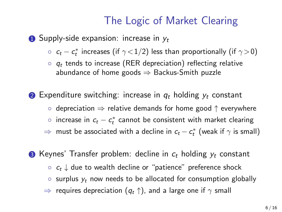### The Logic of Market Clearing

**1** Supply-side expansion: increase in  $y_t$ 

- $\circ$   $\ c_{t} c_{t}^{*}$  increases (if  $\gamma$  < 1/2) less than proportionally (if  $\gamma$   $>$  0)
- $\circ$   $q_t$  tends to increase (RER depreciation) reflecting relative abundance of home goods  $\Rightarrow$  Backus-Smith puzzle
- **2** Expenditure switching: increase in  $q_t$  holding  $y_t$  constant
	- depreciation ⇒ relative demands for home good ↑ everywhere
	- $\circ$  increase in  $c_t c_t^*$  cannot be consistent with market clearing
	- $\Rightarrow$  must be associated with a decline in  $c_t c_t^\ast$  (weak if  $\gamma$  is small)
- **3** Keynes' Transfer problem: decline in  $c_t$  holding  $y_t$  constant
	- $\circ$   $c_t$   $\downarrow$  due to wealth decline or "patience" preference shock
	- $\circ$  surplus  $y_t$  now needs to be allocated for consumption globally
	- $\Rightarrow$  requires depreciation  $(q_t \uparrow)$ , and a large one if  $\gamma$  small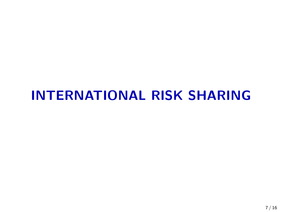# INTERNATIONAL RISK SHARING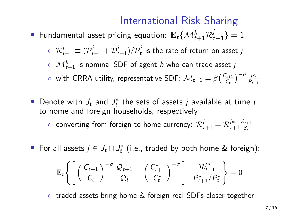## International Risk Sharing

- $\bullet$  Fundamental asset pricing equation:  $\mathbb{E}_t\{\mathcal{M}_{t+1}^h\mathcal{R}_{t+1}^j\}=1$ 
	- $\circ \;\; {\cal R}^j_{t+1} \equiv ({\cal P}^j_{t+1} + {\cal D}^j_{t+1})/{\cal P}^j_t$  is the rate of return on asset  $j$
	- $\circ \: \: \mathcal{M}_{t+1}^{h}$  is nominal SDF of agent  $h$  who can trade asset  $j$

 $\circ$  with CRRA utility, representative SDF:  $\mathcal{M}_{t=1} = \beta \left( \frac{C_{t+1}}{C_t} \right)^{-\sigma} \frac{P_t}{P_{t+1}}$ 

• Denote with  $J_t$  and  $J_t^*$  the sets of assets  $j$  available at time  $t$ to home and foreign households, respectively

 $\circ$  converting from foreign to home currency:  $\mathcal{R}_{t+1}^j = \mathcal{R}_{t+1}^{j*} \frac{\mathcal{E}_{t+1}}{\mathcal{E}_{t}}$  $\mathcal{E}_t$ 

• For all assets  $j \in J_t \cap J_t^*$  (i.e., traded by both home & foreign):

$$
\mathbb{E}_t\Bigg\{\Bigg[\left(\frac{\mathcal{C}_{t+1}}{\mathcal{C}_t}\right)^{-\sigma}\frac{\mathcal{Q}_{t+1}}{\mathcal{Q}_t}-\left(\frac{\mathcal{C}_{t+1}^*}{\mathcal{C}_t^*}\right)^{-\sigma}\Bigg]\cdot\frac{\mathcal{R}_{t+1}^{j*}}{\mathcal{P}_{t+1}^*/\mathcal{P}_t^*}\Bigg\}=0
$$

◦ traded assets bring home & foreign real SDFs closer together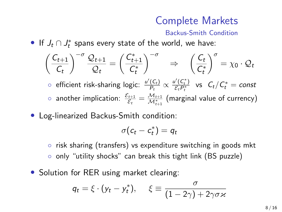### Complete Markets

#### Backus-Smith Condition

• If  $J_t \cap J_t^*$  spans every state of the world, we have:

$$
\left(\frac{C_{t+1}}{C_t}\right)^{-\sigma} \frac{\mathcal{Q}_{t+1}}{\mathcal{Q}_t} = \left(\frac{C_{t+1}^*}{C_t^*}\right)^{-\sigma} \Rightarrow \left(\frac{C_t}{C_t^*}\right)^{\sigma} = \chi_0 \cdot \mathcal{Q}_t
$$
  
ofificient risk-sharing logic:  $\frac{u'(C_t)}{P_t} \propto \frac{u'(C_t^*)}{C_t P_t^*}$  vs  $C_t / C_t^* = const$ 

- $\circ$  another implication:  $\frac{\mathcal{E}_{t+1}}{\mathcal{E}_t} = \frac{\mathcal{M}_{t+1}}{\mathcal{M}_{t+1}^*}$  (marginal value of currency)
- Log-linearized Backus-Smith condition:

$$
\sigma(c_t-c_t^*)=q_t
$$

◦ risk sharing (transfers) vs expenditure switching in goods mkt ◦ only "utility shocks" can break this tight link (BS puzzle)

• Solution for RER using market clearing:

$$
q_t = \xi \cdot (y_t - y_t^*), \quad \xi \equiv \frac{\sigma}{(1 - 2\gamma) + 2\gamma \sigma \varkappa}
$$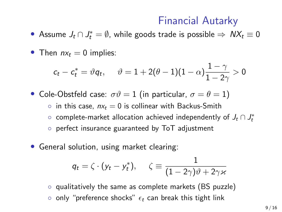### Financial Autarky

- Assume  $J_t \cap J_t^* = \emptyset$ , while goods trade is possible  $\Rightarrow$   $N\chi_t \equiv 0$
- Then  $nx_t = 0$  implies:

$$
c_t - c_t^* = \vartheta q_t, \hspace{5mm} \vartheta = 1 + 2(\theta - 1)(1 - \alpha)\frac{1 - \gamma}{1 - 2\gamma} > 0
$$

• Cole-Obstfeld case:  $\sigma \vartheta = 1$  (in particular,  $\sigma = \theta = 1$ )

◦ in this case,  $nx_t = 0$  is collinear with Backus-Smith

- $\circ$  complete-market allocation achieved independently of  $J_t \cap J_t^*$
- perfect insurance guaranteed by ToT adjustment
- General solution, using market clearing:

$$
q_t = \zeta \cdot (y_t - y_t^*), \quad \zeta \equiv \frac{1}{(1 - 2\gamma)\vartheta + 2\gamma \varkappa}
$$

◦ qualitatively the same as complete markets (BS puzzle) • only "preference shocks"  $\epsilon_t$  can break this tight link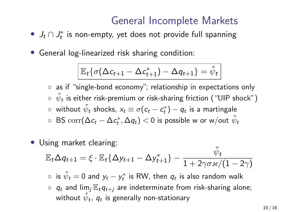### General Incomplete Markets

- $J_t \cap J_t^*$  is non-empty, yet does not provide full spanning
- General log-linearized risk sharing condition:

$$
\mathbb{E}_t\{\sigma(\Delta c_{t+1}-\Delta c_{t+1}^*)-\Delta q_{t+1}\}=\hat{\psi}_t
$$

◦ as if "single-bond economy"; relationship in expectations only  $\circ \ \hat{\psi}_{\bm{t}}$  is either risk-premium or risk-sharing friction ( "UIP shock" )  $\circ \hspace{0.1in}$  without  $\hat{\psi}_{t}$  shocks,  $\mathsf{x}_{t} \equiv \sigma(\mathsf{c}_{t} - \mathsf{c}_{t}^{\ast}) - q_{t}$  is a martingale  $\circ \;$  BS  $\mathrm{corr}(\Delta c_t-\Delta c_t^*,\Delta q_t)< 0$  is possible w or w/out  $\hat{\psi}_t$ 

Using market clearing:

$$
\mathbb{E}_t \Delta q_{t+1} = \xi \cdot \mathbb{E}_t {\{\Delta y_{t+1} - \Delta y^*_{t+1}\}} - \frac{\hat{\psi}_t}{1 + 2\gamma \sigma \varkappa/(1 - 2\gamma)}
$$

 $\circ \,\,$  is  $\hat{\psi}_t = 0$  and  $y_t - y_t^*$  is RW, then  $q_t$  is also random walk

◦  $q_t$  and lim<sub>i</sub>  $\mathbb{E}_t q_{t+j}$  are indeterminate from risk-sharing alone; without  $\hat{\psi}_t$ ,  $\mathit{q}_t$  is generally non-stationary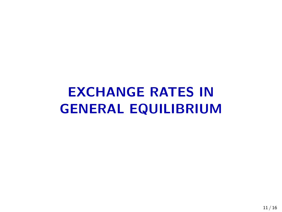# EXCHANGE RATES IN GENERAL EQUILIBRIUM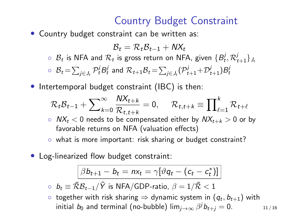## Country Budget Constraint

• Country budget constraint can be written as:

$$
\mathcal{B}_t = \mathcal{R}_t \mathcal{B}_{t-1} + \mathsf{N} X_t
$$

- $\circ$   $\mathcal{B}_t$  is NFA and  $\mathcal{R}_t$  is gross return on NFA, given  $\{\mathcal{B}_t^j, \mathcal{R}_{t+1}^j\}_{{J_t}}$  $\circ \;\; {\cal B}_t\! =\! \sum_{j\in J_t} {\cal P}_t^j B_t^j \;$  and  $\;{\cal R}_{t+1}{\cal B}_t\! =\! \sum_{j\in J_t} ({\cal P}_{t+1}^j\! +\! {\cal D}_{t+1}^j) B_t^j$
- Intertemporal budget constraint (IBC) is then:

$$
\mathcal{R}_t \mathcal{B}_{t-1} + \sum\nolimits_{k=0}^\infty \frac{\mathit{N}X_{t+k}}{\mathcal{R}_{t,t+k}} = 0, \quad \mathcal{R}_{t,t+k} \equiv \prod\nolimits_{\ell=1}^k \mathcal{R}_{t+\ell}
$$

- $\circ$   $NX_t < 0$  needs to be compensated either by  $NX_{t+k} > 0$  or by favorable returns on NFA (valuation effects)
- what is more important: risk sharing or budget constraint?
- Log-linearized flow budget constraint:

$$
\boxed{\beta b_{t+1} - b_t = nx_t = \gamma[\vartheta q_t - (c_t - c_t^*)]}
$$

- $\circ \;\; b_t \equiv \bar{\cal R} {\cal B}_{t-1}/\bar{Y}$  is NFA/GDP-ratio,  $\beta = 1/\bar{\cal R} < 1$
- $\circ~$  together with risk sharing  $\Rightarrow$  dynamic system in  $(q_t, b_{t+1})$  with initial  $b_0$  and terminal (no-bubble)  $\lim_{j\to\infty}\beta^jb_{t+j}=0.$  11/16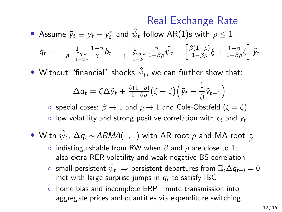### Real Exchange Rate

• Assume  $\tilde{y}_t \equiv y_t - y_t^*$  and  $\hat{\psi}_t$  follow AR(1)s with  $\rho \leq 1$ :

$$
q_t = -\frac{1}{\vartheta + \frac{2\gamma \varkappa}{1-2\gamma}} \frac{1-\beta}{\gamma} b_t + \frac{1}{1+\frac{2\gamma \sigma \varkappa}{1-2\gamma}} \frac{\beta}{1-\beta \rho} \hat{\psi}_t + \left[ \frac{\beta(1-\rho)}{1-\beta \rho} \xi + \frac{1-\beta}{1-\beta \rho} \zeta \right] \tilde{y}_t
$$

 $\bullet\,$  Without "financial" shocks  $\hat{\psi}_{\bm{t}}$ , we can further show that:

$$
\Delta q_t = \zeta \Delta \tilde{y}_t + \tfrac{\beta(1-\rho)}{1-\beta \rho} (\xi-\zeta) \Big( \tilde{y}_t - \frac{1}{\beta} \tilde{y}_{t-1} \Big)
$$

 $\circ$  special cases:  $\beta \rightarrow 1$  and  $\rho \rightarrow 1$  and Cole-Obstfeld ( $\xi = \zeta$ )

 $\circ$  low volatility and strong positive correlation with  $c_t$  and  $v_t$ 

\n- With 
$$
\hat{\psi}_t
$$
,  $\Delta q_t \sim ARMA(1,1)$  with AR root  $\rho$  and MA root  $\frac{1}{\beta}$
\n

- indistinguishable from RW when β and ρ are close to 1; also extra RER volatility and weak negative BS correlation
- $\circ~$  small persistent  $\hat{\psi}_t~\Rightarrow$  persistent departures from  $\mathbb{E}_t\Delta q_{t+j}=0$ met with large surprise jumps in  $q_t$  to satisfy IBC
- home bias and incomplete ERPT mute transmission into aggregate prices and quantities via expenditure switching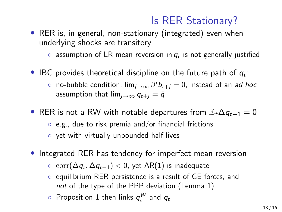## Is RER Stationary?

• RER is, in general, non-stationary (integrated) even when underlying shocks are transitory

 $\circ$  assumption of LR mean reversion in  $q_t$  is not generally justified

- IBC provides theoretical discipline on the future path of  $q_t$ :
	- $\circ$  no-bubble condition, lim $_{j\rightarrow\infty}$   $\beta^j$ b $_{t+j}=0$ , instead of an *ad hoc* assumption that  $\lim_{i\to\infty} q_{t+i} = \overline{q}$
- RER is not a RW with notable departures from  $\mathbb{E}_t \Delta q_{t+1} = 0$ ◦ e.g., due to risk premia and/or financial frictions
	- yet with virtually unbounded half lives
- Integrated RER has tendency for imperfect mean reversion
	- $\circ \ \text{corr}(\Delta q_t, \Delta q_{t-1}) < 0$ , yet AR(1) is inadequate
	- equilibrium RER persistence is a result of GE forces, and not of the type of the PPP deviation (Lemma 1)
	- $\circ$  Proposition 1 then links  $q^W_t$  and  $q_t$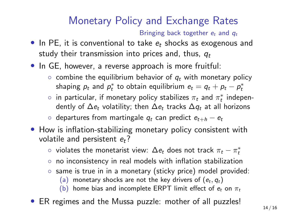## Monetary Policy and Exchange Rates

Bringing back together  $e_t$  and  $q_t$ 

- In PE, it is conventional to take  $e_t$  shocks as exogenous and study their transmission into prices and, thus,  $q_t$
- In GE, however, a reverse approach is more fruitful:
	- $\circ$  combine the equilibrium behavior of  $q_t$  with monetary policy shaping  $p_t$  and  $p_t^*$  to obtain equilibrium  $e_t = q_t + p_t - p_t^*$
	- $\circ$  in particular, if monetary policy stabilizes  $\pi_t$  and  $\pi^*_t$  independently of  $\Delta e_t$  volatility; then  $\Delta e_t$  tracks  $\Delta q_t$  at all horizons
	- departures from martingale  $q_t$  can predict  $e_{t+h} e_t$
- How is inflation-stabilizing monetary policy consistent with volatile and persistent  $e_t$ ?
	- $\circ$  violates the monetarist view:  $\Delta e_t$  does not track  $\pi_t \pi^*_t$
	- no inconsistency in real models with inflation stabilization
	- same is true in in a monetary (sticky price) model provided:
		- (a) monetary shocks are not the key drivers of  $(e_t, q_t)$
		- (b) home bias and incomplete ERPT limit effect of  $e_t$  on  $\pi_t$
- ER regimes and the Mussa puzzle: mother of all puzzles!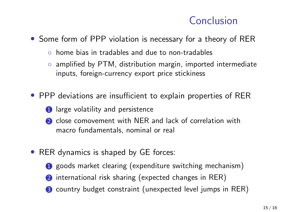### Conclusion

• Some form of PPP violation is necessary for a theory of RER

- home bias in tradables and due to non-tradables
- amplified by PTM, distribution margin, imported intermediate inputs, foreign-currency export price stickiness
- PPP deviations are insufficient to explain properties of RER
	- **1** large volatility and persistence
	- 2 close comovement with NER and lack of correlation with macro fundamentals, nominal or real
- RER dynamics is shaped by GE forces:
	- **1** goods market clearing (expenditure switching mechanism)
	- **2** international risk sharing (expected changes in RER)
	- **3** country budget constraint (unexpected level jumps in RER)